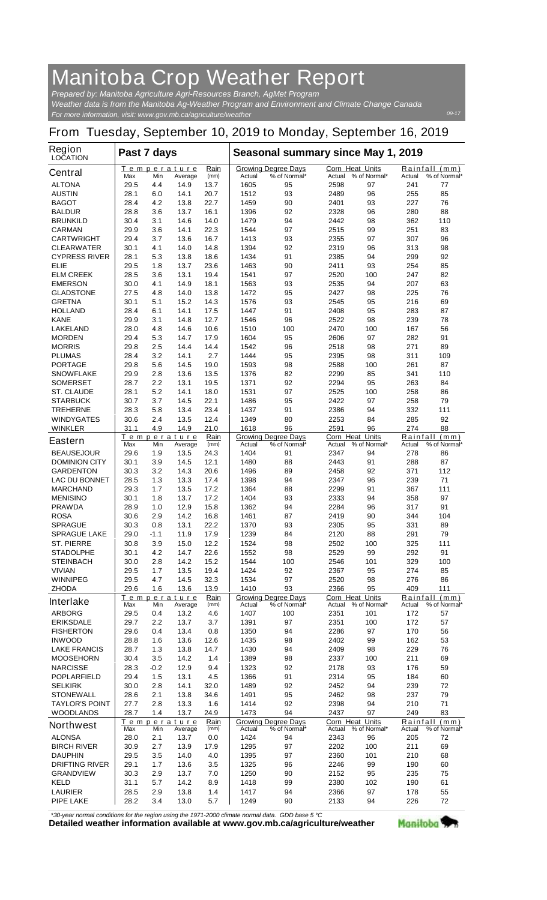## **Manitoba Crop Weather Report**

*For more information, visit: www.gov.mb.ca/agriculture/weather Prepared by: Manitoba Agriculture Agri-Resources Branch, AgMet Program Weather data is from the Manitoba Ag-Weather Program and Environment and Climate Change Canada*

## **From Tuesday, September 10, 2019 to Monday, September 16, 2019**

| Region<br><b>LOCATION</b>                | Past 7 days  |                                               |                               |                                                      | Seasonal summary since May 1, 2019 |                                            |                                  |                                            |                    |                               |
|------------------------------------------|--------------|-----------------------------------------------|-------------------------------|------------------------------------------------------|------------------------------------|--------------------------------------------|----------------------------------|--------------------------------------------|--------------------|-------------------------------|
| <b>Central</b>                           | Max          | Min                                           | <b>Temperature</b><br>Average | Rain<br>(mm)                                         | Actual                             | <b>Growing Degree Days</b><br>% of Normal* | <b>Corn Heat Units</b><br>Actual | % of Normal*                               | Actual             | Rainfall (mm)<br>% of Normal* |
| <b>ALTONA</b>                            | 29.5         | 4.4                                           | 14.9                          | 13.7                                                 | 1605                               | 95                                         | 2598                             | 97                                         | 241                | 77                            |
| <b>AUSTIN</b>                            | 28.1         | 6.0                                           | 14.1                          | 20.7                                                 | 1512                               | 93                                         | 2489                             | 96                                         | 255                | 85                            |
| <b>BAGOT</b>                             | 28.4         | 4.2                                           | 13.8                          | 22.7                                                 | 1459                               | 90                                         | 2401                             | 93                                         | 227                | 76                            |
| <b>BALDUR</b>                            | 28.8         | 3.6                                           | 13.7                          | 16.1                                                 | 1396                               | 92                                         | 2328                             | 96                                         | 280                | 88                            |
| <b>BRUNKILD</b>                          | 30.4         | 3.1                                           | 14.6                          | 14.0                                                 | 1479                               | 94                                         | 2442                             | 98                                         | 362                | 110                           |
| <b>CARMAN</b><br><b>CARTWRIGHT</b>       | 29.9<br>29.4 | 3.6<br>3.7                                    | 14.1<br>13.6                  | 22.3<br>16.7                                         | 1544<br>1413                       | 97<br>93                                   | 2515<br>2355                     | 99<br>97                                   | 251<br>307         | 83<br>96                      |
| <b>CLEARWATER</b>                        | 30.1         | 4.1                                           | 14.0                          | 14.8                                                 | 1394                               | 92                                         | 2319                             | 96                                         | 313                | 98                            |
| <b>CYPRESS RIVER</b>                     | 28.1         | 5.3                                           | 13.8                          | 18.6                                                 | 1434                               | 91                                         | 2385                             | 94                                         | 299                | 92                            |
| <b>ELIE</b>                              | 29.5         | 1.8                                           | 13.7                          | 23.6                                                 | 1463                               | 90                                         | 2411                             | 93                                         | 254                | 85                            |
| <b>ELM CREEK</b>                         | 28.5         | 3.6                                           | 13.1                          | 19.4                                                 | 1541                               | 97                                         | 2520                             | 100                                        | 247                | 82                            |
| <b>EMERSON</b>                           | 30.0         | 4.1                                           | 14.9                          | 18.1                                                 | 1563                               | 93                                         | 2535                             | 94                                         | 207                | 63                            |
| <b>GLADSTONE</b><br><b>GRETNA</b>        | 27.5<br>30.1 | 4.8<br>5.1                                    | 14.0<br>15.2                  | 13.8<br>14.3                                         | 1472<br>1576                       | 95<br>93                                   | 2427<br>2545                     | 98<br>95                                   | 225<br>216         | 76<br>69                      |
| <b>HOLLAND</b>                           | 28.4         | 6.1                                           | 14.1                          | 17.5                                                 | 1447                               | 91                                         | 2408                             | 95                                         | 283                | 87                            |
| <b>KANE</b>                              | 29.9         | 3.1                                           | 14.8                          | 12.7                                                 | 1546                               | 96                                         | 2522                             | 98                                         | 239                | 78                            |
| <b>LAKELAND</b>                          | 28.0         | 4.8                                           | 14.6                          | 10.6                                                 | 1510                               | 100                                        | 2470                             | 100                                        | 167                | 56                            |
| <b>MORDEN</b>                            | 29.4         | 5.3                                           | 14.7                          | 17.9                                                 | 1604                               | 95                                         | 2606                             | 97                                         | 282                | 91                            |
| <b>MORRIS</b>                            | 29.8         | 2.5                                           | 14.4                          | 14.4                                                 | 1542                               | 96                                         | 2518                             | 98                                         | 271                | 89                            |
| <b>PLUMAS</b>                            | 28.4         | 3.2                                           | 14.1                          | 2.7                                                  | 1444                               | 95                                         | 2395                             | 98                                         | 311                | 109                           |
| <b>PORTAGE</b>                           | 29.8         | 5.6                                           | 14.5                          | 19.0                                                 | 1593                               | 98                                         | 2588                             | 100                                        | 261                | 87                            |
| <b>SNOWFLAKE</b><br><b>SOMERSET</b>      | 29.9<br>28.7 | 2.8<br>2.2                                    | 13.6<br>13.1                  | 13.5<br>19.5                                         | 1376<br>1371                       | 82<br>92                                   | 2299<br>2294                     | 85<br>95                                   | 341<br>263         | 110<br>84                     |
| <b>ST. CLAUDE</b>                        | 28.1         | 5.2                                           | 14.1                          | 18.0                                                 | 1531                               | 97                                         | 2525                             | 100                                        | 258                | 86                            |
| <b>STARBUCK</b>                          | 30.7         | 3.7                                           | 14.5                          | 22.1                                                 | 1486                               | 95                                         | 2422                             | 97                                         | 258                | 79                            |
| <b>TREHERNE</b>                          | 28.3         | 5.8                                           | 13.4                          | 23.4                                                 | 1437                               | 91                                         | 2386                             | 94                                         | 332                | 111                           |
| <b>WINDYGATES</b>                        | 30.6         | 2.4                                           | 13.5                          | 12.4                                                 | 1349                               | 80                                         | 2253                             | 84                                         | 285                | 92                            |
| <b>WINKLER</b>                           | 31.1         | 4.9                                           | 14.9                          | 21.0                                                 | 1618                               | 96                                         | 2591                             | 96                                         | 274                | 88                            |
| <b>Eastern</b>                           | Max          | Min                                           | Temperature<br>Average        | Rain<br>(mm)                                         | Actual                             | <b>Growing Degree Days</b><br>% of Normal* | <b>Corn Heat Units</b><br>Actual | % of Normal*                               | Rainfall<br>Actual | (mm)<br>% of Normal*          |
| <b>BEAUSEJOUR</b>                        | 29.6         | 1.9                                           | 13.5                          | 24.3                                                 | 1404                               | 91                                         | 2347                             | 94                                         | 278                | 86                            |
| <b>DOMINION CITY</b>                     | 30.1         | 3.9                                           | 14.5                          | 12.1                                                 | 1480                               | 88                                         | 2443                             | 91                                         | 288                | 87                            |
| <b>GARDENTON</b><br><b>LAC DU BONNET</b> | 30.3<br>28.5 | 3.2<br>1.3                                    | 14.3<br>13.3                  | 20.6<br>17.4                                         | 1496<br>1398                       | 89<br>94                                   | 2458<br>2347                     | 92<br>96                                   | 371<br>239         | 112<br>71                     |
| <b>MARCHAND</b>                          | 29.3         | 1.7                                           | 13.5                          | 17.2                                                 | 1364                               | 88                                         | 2299                             | 91                                         | 367                | 111                           |
| <b>MENISINO</b>                          | 30.1         | 1.8                                           | 13.7                          | 17.2                                                 | 1404                               | 93                                         | 2333                             | 94                                         | 358                | 97                            |
| <b>PRAWDA</b>                            | 28.9         | 1.0                                           | 12.9                          | 15.8                                                 | 1362                               | 94                                         | 2284                             | 96                                         | 317                | 91                            |
| <b>ROSA</b>                              | 30.6         | 2.9                                           | 14.2                          | 16.8                                                 | 1461                               | 87                                         | 2419                             | 90                                         | 344                | 104                           |
| <b>SPRAGUE</b>                           | 30.3         | 0.8                                           | 13.1                          | 22.2                                                 | 1370                               | 93                                         | 2305                             | 95                                         | 331                | 89                            |
| <b>SPRAGUE LAKE</b>                      | 29.0         | -1.1                                          | 11.9                          | 17.9                                                 | 1239                               | 84                                         | 2120                             | 88                                         | 291                | 79                            |
| <b>ST. PIERRE</b><br><b>STADOLPHE</b>    | 30.8<br>30.1 | 3.9<br>4.2                                    | 15.0<br>14.7                  | 12.2<br>22.6                                         | 1524<br>1552                       | 98<br>98                                   | 2502<br>2529                     | 100<br>99                                  | 325<br>292         | 111<br>91                     |
| <b>STEINBACH</b>                         | 30.0         | 2.8                                           | 14.2                          | 15.2                                                 | 1544                               | 100                                        | 2546                             | 101                                        | 329                | 100                           |
| <b>VIVIAN</b>                            | 29.5         | 1.7                                           | 13.5                          | 19.4                                                 | 1424                               | 92                                         | 2367                             | 95                                         | 274                | 85                            |
| <b>WINNIPEG</b>                          | 29.5         | 4.7                                           | 14.5                          | 32.3                                                 | 1534                               | 97                                         | 2520                             | 98                                         | 276                | 86                            |
| <b>ZHODA</b>                             | 29.6         | 1.6                                           | 13.6                          | 13.9                                                 | 1410                               | 93                                         | 2366                             | 95                                         | 409                | 111                           |
| <b>Interlake</b>                         |              |                                               | <b>Temperature</b>            | Rain<br>(mm)                                         |                                    | <b>Growing Degree Days</b>                 | <b>Corn Heat Units</b>           |                                            |                    | Rainfall (mm)                 |
| <b>ARBORG</b>                            | Max<br>29.5  | Min<br>0.4                                    | Average<br>13.2               | 4.6                                                  | Actual<br>1407                     | % of Normal*<br>100                        | Actual<br>2351                   | % of Normal*<br>101                        | Actual<br>172      | % of Normal*<br>57            |
| <b>ERIKSDALE</b>                         | 29.7         | 2.2                                           | 13.7                          | 3.7                                                  | 1391                               | 97                                         | 2351                             | 100                                        | 172                | 57                            |
| <b>FISHERTON</b>                         | 29.6         | 0.4                                           | 13.4                          | 0.8                                                  | 1350                               | 94                                         | 2286                             | 97                                         | 170                | 56                            |
| <b>INWOOD</b>                            | 28.8         | 1.6                                           | 13.6                          | 12.6                                                 | 1435                               | 98                                         | 2402                             | 99                                         | 162                | 53                            |
| <b>LAKE FRANCIS</b>                      | 28.7         | 1.3                                           | 13.8                          | 14.7                                                 | 1430                               | 94                                         | 2409                             | 98                                         | 229                | 76                            |
| <b>MOOSEHORN</b>                         | 30.4         | 3.5                                           | 14.2                          | 1.4                                                  | 1389                               | 98                                         | 2337                             | 100                                        | 211                | 69                            |
| <b>NARCISSE</b><br><b>POPLARFIELD</b>    | 28.3<br>29.4 | -0.2<br>1.5                                   | 12.9<br>13.1                  | 9.4<br>4.5                                           | 1323<br>1366                       | 92<br>91                                   | 2178<br>2314                     | 93<br>95                                   | 176<br>184         | 59<br>60                      |
| <b>SELKIRK</b>                           | 30.0         | 2.8                                           | 14.1                          | 32.0                                                 | 1489                               | 92                                         | 2452                             | 94                                         | 239                | 72                            |
| <b>STONEWALL</b>                         | 28.6         | 2.1                                           | 13.8                          | 34.6                                                 | 1491                               | 95                                         | 2462                             | 98                                         | 237                | 79                            |
| <b>TAYLOR'S POINT</b>                    | 27.7         | 2.8                                           | 13.3                          | 1.6                                                  | 1414                               | 92                                         | 2398                             | 94                                         | 210                | 71                            |
| <b>WOODLANDS</b>                         | 28.7         | 1.4                                           | 13.7                          | 24.9                                                 | 1473                               | 94                                         | 2437                             | 97                                         | 249                | 83                            |
| <b>Northwest</b>                         | Max          | Temperature<br>Rain<br>(mm)<br>Min<br>Average |                               | <b>Growing Degree Days</b><br>% of Normal*<br>Actual |                                    | Corn Heat Units<br>Actual                  | % of Normal*                     | Rainfall<br>(mm)<br>% of Normal*<br>Actual |                    |                               |
| <b>ALONSA</b>                            | 28.0         | 2.1                                           | 13.7                          | 0.0                                                  | 1424                               | 94                                         | 2343                             | 96                                         | 205                | 72                            |
| <b>BIRCH RIVER</b>                       | 30.9         | 2.7                                           | 13.9                          | 17.9                                                 | 1295                               | 97                                         | 2202                             | 100                                        | 211                | 69                            |
| <b>DAUPHIN</b>                           | 29.5         | 3.5                                           | 14.0                          | 4.0                                                  | 1395                               | 97                                         | 2360                             | 101                                        | 210                | 68                            |
| <b>DRIFTING RIVER</b>                    | 29.1         | 1.7                                           | 13.6                          | 3.5                                                  | 1325                               | 96                                         | 2246                             | 99                                         | 190                | 60                            |
| <b>GRANDVIEW</b>                         | 30.3         | 2.9                                           | 13.7                          | 7.0                                                  | 1250                               | 90                                         | 2152                             | 95                                         | 235                | 75                            |
| <b>KELD</b><br><b>LAURIER</b>            | 31.1<br>28.5 | 5.7<br>2.9                                    | 14.2<br>13.8                  | 8.9<br>1.4                                           | 1418<br>1417                       | 99<br>94                                   | 2380<br>2366                     | 102<br>97                                  | 190<br>178         | 61<br>55                      |
| <b>PIPE LAKE</b>                         | 28.2         | 3.4                                           | 13.0                          | 5.7                                                  | 1249                               | 90                                         | 2133                             | 94                                         | 226                | 72                            |
|                                          |              |                                               |                               |                                                      |                                    |                                            |                                  |                                            |                    |                               |

*\*30-year normal conditions for the region using the 1971-2000 climate normal data. GDD base 5 °C*<br>Detailed weather information available at www.gov.mb.ca/agriculture/weather